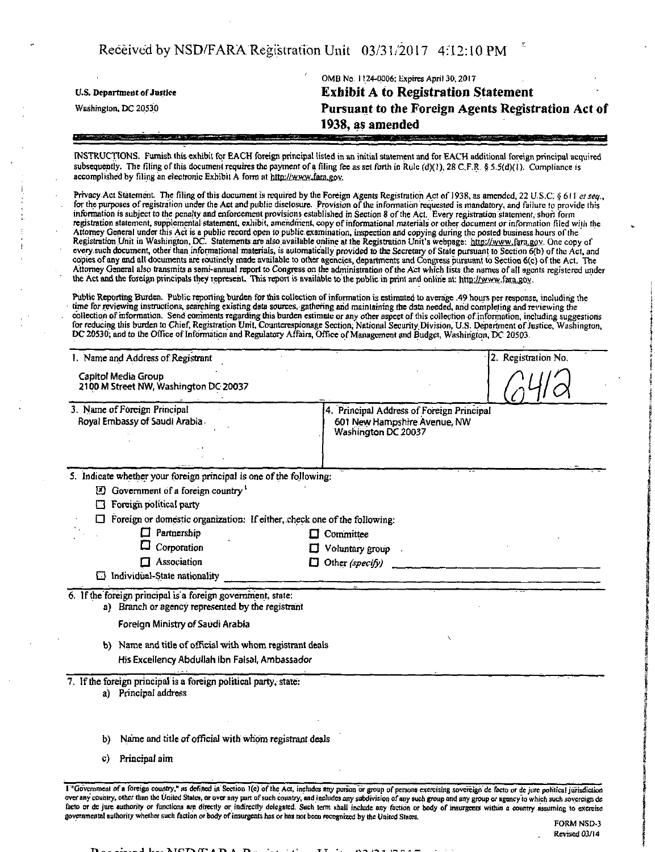Received by NSD/FARA Registration Unit 03/31/2017 4:12:10 PM

US. Department of Justice Washington, DC 20530

OMB No. 11.24-0006: Expires April 30,2017 **Exhibit A to Registration Statement Pursuant to the Foreign Agents Registration Act of 1938, as amended** 

INSTRUCTIONS. Furnish this exhibit for EACH foreign principal listed in an initial statement and for EACH additional foreign principal acquired subsequently. The filing of this document requires the payment of a filing fee as set forth in Rule (d)(1), 28 C.F.R. § 5.5(d)(1). Compliance is accomplished by filing an electronic Exhibit A form at http://www.fara.gov.

Privacy Act Statement. The filing of this document is required by the Foreign Agents Registration Act of 1938, as amended, 22 U.S.C. § 611 et seq., for the purposes of registration under the Act and public disclosure. Provision of the information requested is mandatory, and failure to provide this information is subject to the penalty and enforcement provisions established in Section 8 of the Act. Every registration statement, short form registration statement, supplemental statement, exhibit, amendment, copy of informational materials or other document or information filed with the Attorney Generalunder this Act is a public record open to public examination, inspection and copying during the posted business hours ofthe Registration Unit in Washington, DC. Statements are also available online at the Registration Unit's webpage: http://wvyw,fara.gov. One copy of every. such document, other than informational materials, is automatically provided to the Secretary of State pursuant to Section 6(b) of the Act, and copies of any and all documents are routinely made available to other agencies, departments and Congress pursuant lb Section 6(c) of the Act. The Attorney General also transmits a semi-annual report to Congress on the administration of the Act which lists the names of all agents registered under The Act and the foreign principals they represent. This report is available to the public in print and online at: bttp://www.fara.g6v.

Public Reporting Burden. Public reporting burden for this collection of information is estimated to average .49 hours per response, including the time for reviewing instructions, searching existing data sources, gathering arid maintaining the dad needed, arid completing and reviewing the collection of information. Send comments regarding this burden estimate or any other aspect of this collection of information, including suggestions for reducing this burden to Chief, Registration Unit, Counterespionage Section, National Security. Division, U.S. Department of Justice, Washington, DC 20530; and to the Office of Information and Regulatory Affairs, Office of Management and Budget, Washington, DC 20503.

| 1. Name and Address of Registrant                                                                                |                                                     | 2. Registration No.                                                                                                                                                                                                                                                                                                                                                                               |
|------------------------------------------------------------------------------------------------------------------|-----------------------------------------------------|---------------------------------------------------------------------------------------------------------------------------------------------------------------------------------------------------------------------------------------------------------------------------------------------------------------------------------------------------------------------------------------------------|
| Capitol Media Group<br>2100 M Street NW, Washington DC 20037                                                     |                                                     |                                                                                                                                                                                                                                                                                                                                                                                                   |
| 3. Name of Foreign Principal<br>Royal Embassy of Saudi Arabia                                                    | 601 New Hampshire Avenue, NW<br>Washington DC 20037 |                                                                                                                                                                                                                                                                                                                                                                                                   |
|                                                                                                                  |                                                     |                                                                                                                                                                                                                                                                                                                                                                                                   |
|                                                                                                                  |                                                     |                                                                                                                                                                                                                                                                                                                                                                                                   |
| <b>El</b> Government of a foreign country <sup>1</sup>                                                           |                                                     |                                                                                                                                                                                                                                                                                                                                                                                                   |
| Foreign political party                                                                                          |                                                     |                                                                                                                                                                                                                                                                                                                                                                                                   |
|                                                                                                                  |                                                     |                                                                                                                                                                                                                                                                                                                                                                                                   |
| Partnership                                                                                                      |                                                     |                                                                                                                                                                                                                                                                                                                                                                                                   |
|                                                                                                                  | Voluntary group                                     |                                                                                                                                                                                                                                                                                                                                                                                                   |
| $\Box$ Association                                                                                               | Other (specify)                                     |                                                                                                                                                                                                                                                                                                                                                                                                   |
|                                                                                                                  |                                                     |                                                                                                                                                                                                                                                                                                                                                                                                   |
| 6. If the foreign principal is a foreign government, state:<br>a) Branch or agency represented by the registrant |                                                     |                                                                                                                                                                                                                                                                                                                                                                                                   |
| Foreign Ministry of Saudi Arabia                                                                                 |                                                     |                                                                                                                                                                                                                                                                                                                                                                                                   |
|                                                                                                                  |                                                     |                                                                                                                                                                                                                                                                                                                                                                                                   |
|                                                                                                                  |                                                     |                                                                                                                                                                                                                                                                                                                                                                                                   |
| 7. If the foreign principal is a foreign political party, state:<br>a) Principal address                         |                                                     |                                                                                                                                                                                                                                                                                                                                                                                                   |
|                                                                                                                  |                                                     |                                                                                                                                                                                                                                                                                                                                                                                                   |
| Principal aim                                                                                                    |                                                     |                                                                                                                                                                                                                                                                                                                                                                                                   |
|                                                                                                                  | Corporation<br>Individual-State nationality         | 4. Principal Address of Foreign Principal<br>5. Indicate whether your foreign principal is one of the following:<br>Foreign or domestic organization: If either, check one of the following:<br>$\Box$ Committee<br>O<br>П<br>b) Name and title of official with whom registrant deals<br>His Excellency Abdullah ibn Faisal, Ambassador<br>Name and title of official with whom registrant deals |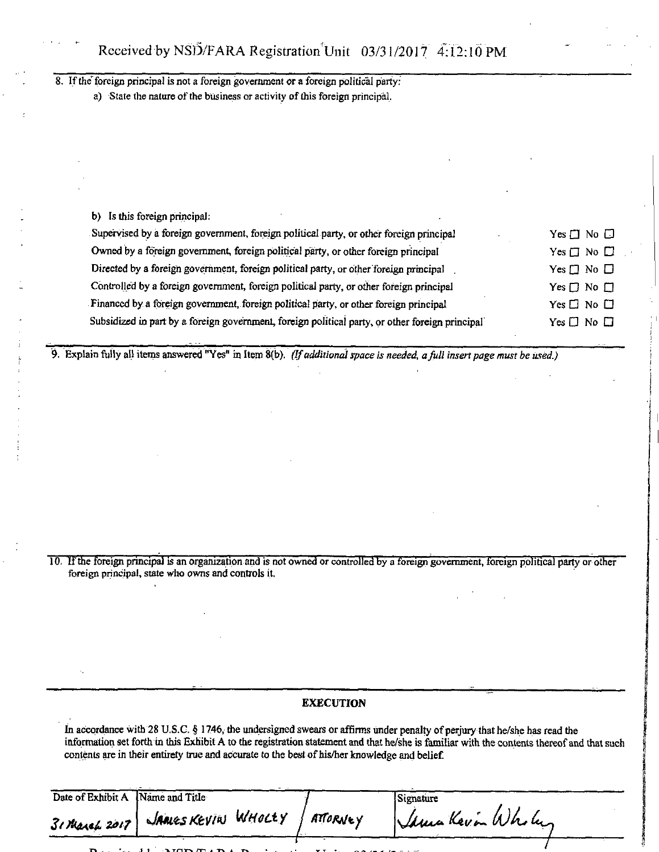8. If the foreign principal is not a foreign government or a foreign political party:

a) State the nature of the business or activity of this foreign principal.

| b) Is this foreign principal:                                                                   |                      |
|-------------------------------------------------------------------------------------------------|----------------------|
| Supervised by a foreign government, foreign political party, or other foreign principal         | $Yes \Box No \Box$   |
| Owned by a foreign government, foreign political party, or other foreign principal              | $Yes \Box No \Box$   |
| Directed by a foreign government, foreign political party, or other foreign principal           | Yes $\Box$ No $\Box$ |
| Controlled by a foreign government, foreign political party, or other foreign principal         | Yes $\Box$ No $\Box$ |
| Financed by a foreign government, foreign political party, or other foreign principal           | Yes $\Box$ No $\Box$ |
| Subsidized in part by a foreign government, foreign political party, or other foreign principal | Yes $\Box$ No $\Box$ |

*9. Explain fully all items answered "Yes" in Item 8(b). (Ifadditional space is needed, a full insert page must be used.)* 

10. If the foreign principal is an organization and is not owned or controlled by a foreign government, foreign political party or other foreign principal, state who owns and controls it.

## **EXECUTION**

In accordance with 28 U.S.C. § 1746, the undersigned swears or affirms under penalty of perjury that he/she has read the information set forth in this Exhibit A to the registration statement and that he/she is familiar with the contents thereof and that such contents are in their entirety true and accurate to the best of his/her knowledge and belief.

| Date of Exhibit A Name and Title |                    |          | Signature         |  |
|----------------------------------|--------------------|----------|-------------------|--|
| $31$ March 2017                  | JAMES KEVIN WHOLEY | ATTORNEY | Sama Kavin Wholes |  |

 $\mathbf D$  and i i of  $\mathbf I$  is a  $\mathbf I$  if  $\mathbf I$  if  $\mathbf I$  if  $\mathbf I$  if  $\mathbf I$  if  $\mathbf I$  is in its in its in its in its in its in its in its in its in its in its in its in its in its in its in its in its in its in its in it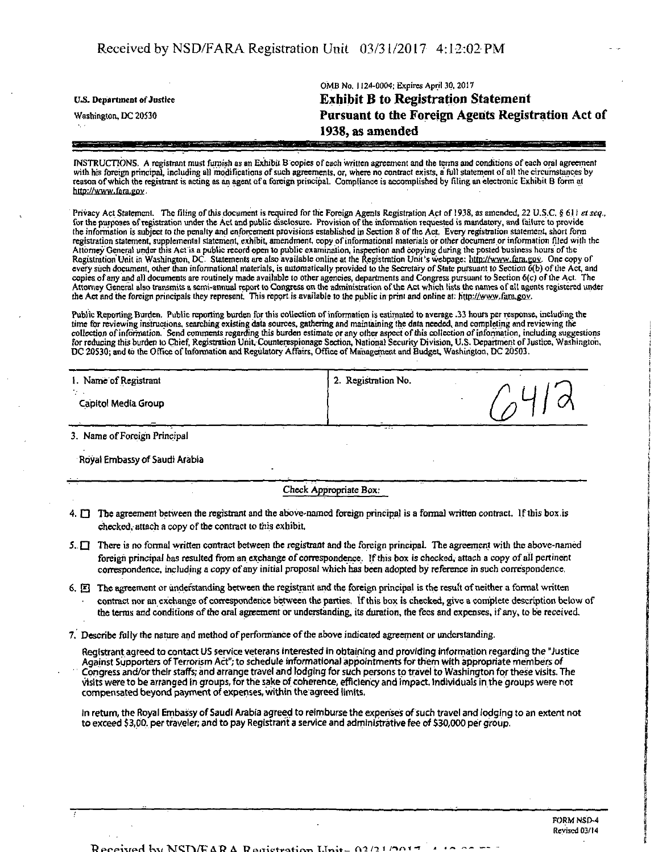OMB No. 1124-0004; Expires April 30, 2017 **ns. Department of Justice Exhibit B to Registration Statement Washington, DC 2Q530 Pursuant to the Foreign Agents Registration Act of 1938, as amended** 

WSTRUCTTONS. A registrant must furnish as an Exhibit B copies of each written agreement and the terms and conditions of each oral agreement with his foreign principal, including all modifications of such agreements, or, where no contract exists, a full statement of all the circumstances by reason of which the registrant is acting as an agent of a foreign principal. Compliance is accomplished by filing an electronic Exhibit B form at http://www.faca.gov

Privacy Act Statement. The filing of this document is required for the Foreign Agents Registration Act of 1938, as amended, 22 U.S.C. § 611 et seq., for the purposes of registration under the Act and public disclosure. Provision of the mformation requested is mandatory, and failure to provide the information is subject to the penalty and enforcement provisions established in Section 8 of the Act, Every registration statement, short form registration statement, supplemental statement, exhibit, amendment, copy of informational materials or other document or information filed with the Attorney General under this Act is a public record open to public examination, inspection and copying during the posted business hours ofthe Registration Unit in Washington, DC. Statements are also available online at the Registration Unit's webpage: Mtp://www.fara.gov. One copy of every such document, other than informational materials, is automatically provided to the Secretary of State pursuant to Section 6(b) of the Act, and copies of any and all documents are routinely made available to other agencies, departments and Congress pursuant to Section 6(c) of the Act. The Attorney General also transmits a semi-annual report to Congress on the administration of the Act which lists the names of all agents registered under the Act and the foreign principals they represent. This report is available to the public in print and online at: http://www.fara.gov.

Public Reporting Burden. Public reporting burden for this collection of information is estimated to average .33 hours per response, including the time for reviewing instructions, searching existing data sources, gathering and maintaining the data needed, and completing and reviewing the collection of information. Send commentsregarding this burden estimate or any other aspect of this collection of information, including suggestions for reducing this burden to Chief, Registration Unit, Counterespionage Section, National Security Division, U.S. Department of Justice, Washington, DC 20530; and to the Office of Information and Regulatory Affairs, Office of Management and Budget, Washington, DC 20503.

| 1. Name of Registrant | 2. Registration No. |  |
|-----------------------|---------------------|--|
| Capitol Media Group   |                     |  |

3. Name of Foreign Principal

Royal Embassy of Saudi Arabia

Check Appropriate Box:

- 4.  $\Box$  The agreement between the registrant and the above-named foreign principal is a formal written contract. If this box is checked, attach a copy of the contract to this exhibit
- 5.  $\Box$  There is no formal written contract between the registrant and the foreign principal. The agreement with the above-named foreign principal has resulted from an exchange of correspondence. If this box is checked, attach a copy of all pertinent correspondence, including a copy of any initial proposal which has been adopted by reference in such correspondence.
- 6.  $[**E**]$  The agreement or understanding between the registrant and the foreign principal is the result of neither a formal written contract nor an exchange of correspondence between the parties, tf this box is checked, give a complete description below of the terras and conditions of the oral agreement or understanding, its duration, the fees and expenses, if any, to be received
- 7. Describe felly the nature and method of performance of the above indicated agreement or understanding.

Registrant agreed to contact US service veterans interested in obtaining and providing information regarding the "Justice Against Supporters of Terrorism Act"; to schedule informational appointments for them with appropriate members of Congress and/or their staffs; and arrange travel and lodging for such persons to travel to Washington for these visits. The visits were to be arranged in groups, for the sake of coherence, efficiency and impact Individuals in the groups were not compensated beyond payment of expenses, within the agreed limits.

In return, the Royal Embassy of Saudi Arabia agreed to reimburse the expenses of such travel and lodging to an extent not to exceed \$3,00. per traveler; and to pay Registrant a service and administrative fee of \$30,000 per group.